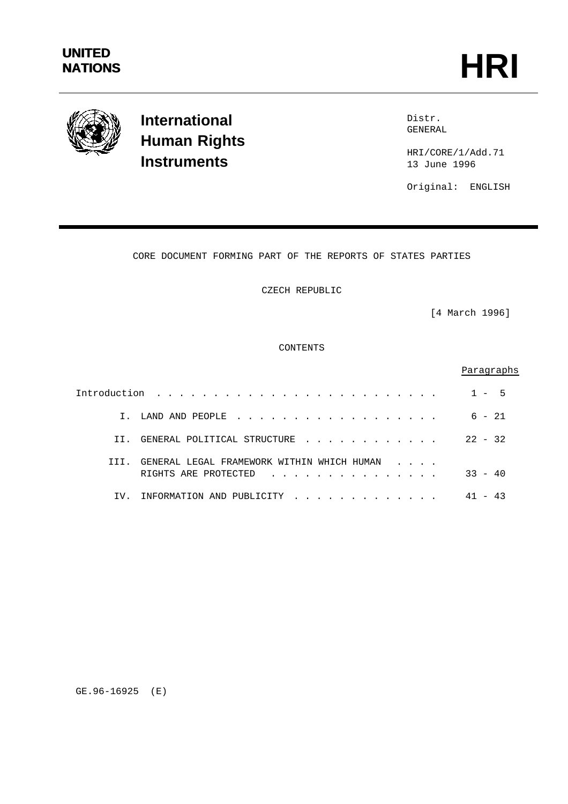

# **International Human Rights Instruments**

Distr. GENERAL

HRI/CORE/1/Add.71 13 June 1996

Original: ENGLISH

## CORE DOCUMENT FORMING PART OF THE REPORTS OF STATES PARTIES

CZECH REPUBLIC

[4 March 1996]

CONTENTS

## Paragraphs

|       |                                                                    | 1 – h     |
|-------|--------------------------------------------------------------------|-----------|
|       | I. LAND AND PEOPLE                                                 | $6 - 21$  |
| TT.   | GENERAL POLITICAL STRUCTURE                                        | $22 - 32$ |
| T T T | GENERAL LEGAL FRAMEWORK WITHIN WHICH HUMAN<br>RIGHTS ARE PROTECTED | $33 - 40$ |
| TV.   | INFORMATION AND PUBLICITY                                          |           |

GE.96-16925 (E)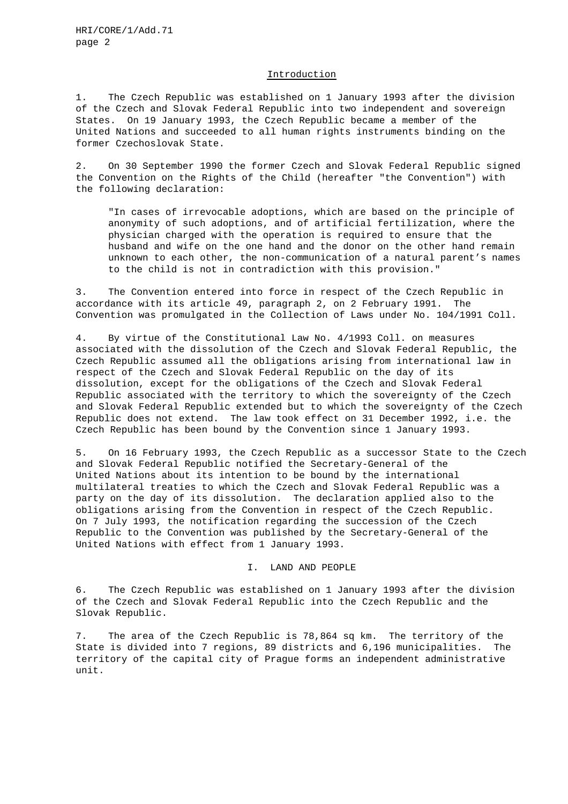#### Introduction

1. The Czech Republic was established on 1 January 1993 after the division of the Czech and Slovak Federal Republic into two independent and sovereign States. On 19 January 1993, the Czech Republic became a member of the United Nations and succeeded to all human rights instruments binding on the former Czechoslovak State.

2. On 30 September 1990 the former Czech and Slovak Federal Republic signed the Convention on the Rights of the Child (hereafter "the Convention") with the following declaration:

"In cases of irrevocable adoptions, which are based on the principle of anonymity of such adoptions, and of artificial fertilization, where the physician charged with the operation is required to ensure that the husband and wife on the one hand and the donor on the other hand remain unknown to each other, the non-communication of a natural parent's names to the child is not in contradiction with this provision."

3. The Convention entered into force in respect of the Czech Republic in accordance with its article 49, paragraph 2, on 2 February 1991. The Convention was promulgated in the Collection of Laws under No. 104/1991 Coll.

4. By virtue of the Constitutional Law No. 4/1993 Coll. on measures associated with the dissolution of the Czech and Slovak Federal Republic, the Czech Republic assumed all the obligations arising from international law in respect of the Czech and Slovak Federal Republic on the day of its dissolution, except for the obligations of the Czech and Slovak Federal Republic associated with the territory to which the sovereignty of the Czech and Slovak Federal Republic extended but to which the sovereignty of the Czech Republic does not extend. The law took effect on 31 December 1992, i.e. the Czech Republic has been bound by the Convention since 1 January 1993.

5. On 16 February 1993, the Czech Republic as a successor State to the Czech and Slovak Federal Republic notified the Secretary-General of the United Nations about its intention to be bound by the international multilateral treaties to which the Czech and Slovak Federal Republic was a party on the day of its dissolution. The declaration applied also to the obligations arising from the Convention in respect of the Czech Republic. On 7 July 1993, the notification regarding the succession of the Czech Republic to the Convention was published by the Secretary-General of the United Nations with effect from 1 January 1993.

I. LAND AND PEOPLE

6. The Czech Republic was established on 1 January 1993 after the division of the Czech and Slovak Federal Republic into the Czech Republic and the Slovak Republic.

7. The area of the Czech Republic is 78,864 sq km. The territory of the State is divided into 7 regions, 89 districts and 6,196 municipalities. The territory of the capital city of Prague forms an independent administrative unit.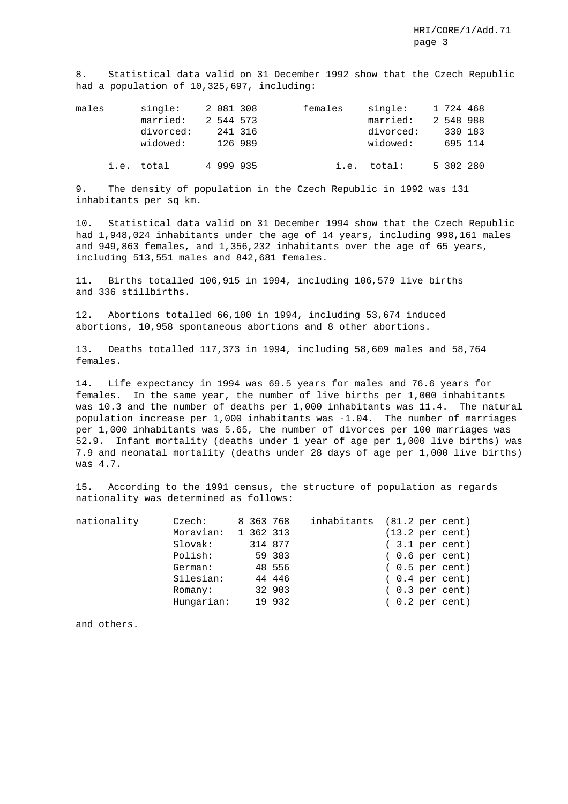8. Statistical data valid on 31 December 1992 show that the Czech Republic had a population of 10,325,697, including:

| males | single:<br>married:   | 2 081 308<br>2 544 573 | females | single:<br>married:   | 1 724 468<br>2 548 988 |  |
|-------|-----------------------|------------------------|---------|-----------------------|------------------------|--|
|       | divorced:<br>widowed: | 241 316<br>126 989     |         | divorced:<br>widowed: | 330 183<br>695 114     |  |
|       | i.e. total            | 4 999 935              |         | i.e. total:           | 5 302 280              |  |

9. The density of population in the Czech Republic in 1992 was 131 inhabitants per sq km.

10. Statistical data valid on 31 December 1994 show that the Czech Republic had 1,948,024 inhabitants under the age of 14 years, including 998,161 males and 949,863 females, and 1,356,232 inhabitants over the age of 65 years, including 513,551 males and 842,681 females.

11. Births totalled 106,915 in 1994, including 106,579 live births and 336 stillbirths.

12. Abortions totalled 66,100 in 1994, including 53,674 induced abortions, 10,958 spontaneous abortions and 8 other abortions.

13. Deaths totalled 117,373 in 1994, including 58,609 males and 58,764 females.

14. Life expectancy in 1994 was 69.5 years for males and 76.6 years for females. In the same year, the number of live births per 1,000 inhabitants was 10.3 and the number of deaths per 1,000 inhabitants was 11.4. The natural population increase per 1,000 inhabitants was -1.04. The number of marriages per 1,000 inhabitants was 5.65, the number of divorces per 100 marriages was 52.9. Infant mortality (deaths under 1 year of age per 1,000 live births) was 7.9 and neonatal mortality (deaths under 28 days of age per 1,000 live births) was 4.7.

15. According to the 1991 census, the structure of population as regards nationality was determined as follows:

| nationality | Czech:     | 8 363 768 |        | inhabitants (81.2 per cent) |  |                           |
|-------------|------------|-----------|--------|-----------------------------|--|---------------------------|
|             | Moravian:  | 1 362 313 |        |                             |  | $(13.2 \text{ per cent})$ |
|             | $Slovak$ : | 314 877   |        |                             |  | $(3.1$ per cent)          |
|             | Polish:    |           | 59 383 |                             |  | $(0.6$ per cent)          |
|             | German:    |           | 48 556 |                             |  | $(0.5$ per cent)          |
|             | Silesian:  |           | 44 446 |                             |  | $(0.4$ per cent)          |
|             | Romany:    |           | 32 903 |                             |  | $(0.3$ per cent)          |
|             | Hungarian: |           | 19 932 |                             |  | $(0.2 \text{ per cent})$  |
|             |            |           |        |                             |  |                           |

and others.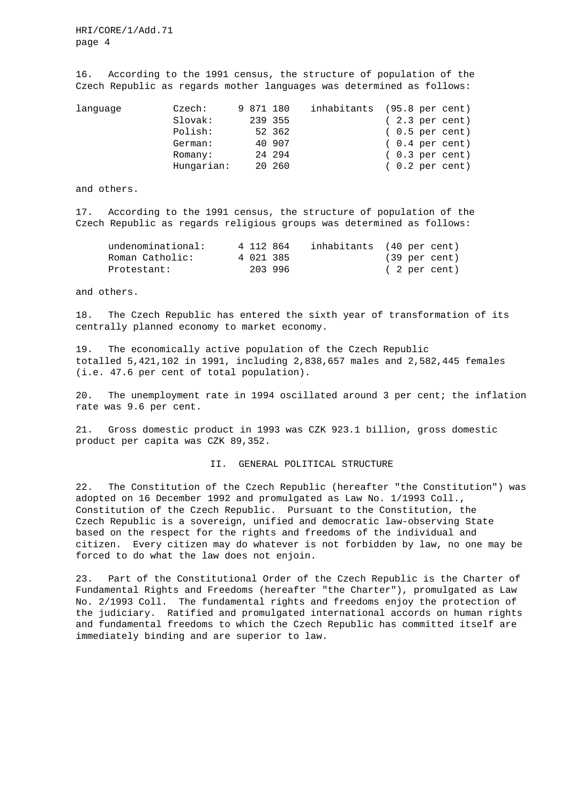HRI/CORE/1/Add.71 page 4

16. According to the 1991 census, the structure of population of the Czech Republic as regards mother languages was determined as follows:

| lanquaqe | Czech:     | 9 871 180 |         | inhabitants (95.8 per cent) |  |                          |
|----------|------------|-----------|---------|-----------------------------|--|--------------------------|
|          | Slovak:    |           | 239 355 |                             |  | $(2.3 \text{ per cent})$ |
|          | Polish:    |           | 52 362  |                             |  | $(0.5$ per cent)         |
|          | German:    |           | 40 907  |                             |  | $(0.4 \text{ per cent})$ |
|          | Romany:    |           | 24 294  |                             |  | $(0.3 \text{ per cent})$ |
|          | Hungarian: |           | 20 260  |                             |  | $(0.2 \text{ per cent})$ |

and others.

17. According to the 1991 census, the structure of population of the Czech Republic as regards religious groups was determined as follows:

| undenominational: | 4 112 864 | inhabitants (40 per cent) |  |               |
|-------------------|-----------|---------------------------|--|---------------|
| Roman Catholic:   | 4 021 385 |                           |  | (39 per cent) |
| Protestant:       | 203996    |                           |  | (2 per cent)  |

and others.

18. The Czech Republic has entered the sixth year of transformation of its centrally planned economy to market economy.

19. The economically active population of the Czech Republic totalled 5,421,102 in 1991, including 2,838,657 males and 2,582,445 females (i.e. 47.6 per cent of total population).

20. The unemployment rate in 1994 oscillated around 3 per cent; the inflation rate was 9.6 per cent.

21. Gross domestic product in 1993 was CZK 923.1 billion, gross domestic product per capita was CZK 89,352.

### II. GENERAL POLITICAL STRUCTURE

22. The Constitution of the Czech Republic (hereafter "the Constitution") was adopted on 16 December 1992 and promulgated as Law No. 1/1993 Coll., Constitution of the Czech Republic. Pursuant to the Constitution, the Czech Republic is a sovereign, unified and democratic law-observing State based on the respect for the rights and freedoms of the individual and citizen. Every citizen may do whatever is not forbidden by law, no one may be forced to do what the law does not enjoin.

23. Part of the Constitutional Order of the Czech Republic is the Charter of Fundamental Rights and Freedoms (hereafter "the Charter"), promulgated as Law No. 2/1993 Coll. The fundamental rights and freedoms enjoy the protection of the judiciary. Ratified and promulgated international accords on human rights and fundamental freedoms to which the Czech Republic has committed itself are immediately binding and are superior to law.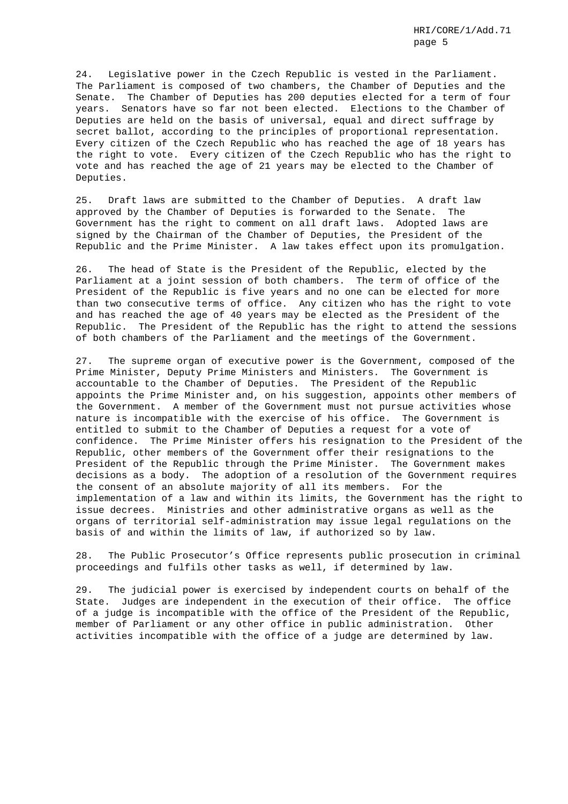24. Legislative power in the Czech Republic is vested in the Parliament. The Parliament is composed of two chambers, the Chamber of Deputies and the Senate. The Chamber of Deputies has 200 deputies elected for a term of four years. Senators have so far not been elected. Elections to the Chamber of Deputies are held on the basis of universal, equal and direct suffrage by secret ballot, according to the principles of proportional representation. Every citizen of the Czech Republic who has reached the age of 18 years has the right to vote. Every citizen of the Czech Republic who has the right to vote and has reached the age of 21 years may be elected to the Chamber of Deputies.

25. Draft laws are submitted to the Chamber of Deputies. A draft law approved by the Chamber of Deputies is forwarded to the Senate. The Government has the right to comment on all draft laws. Adopted laws are signed by the Chairman of the Chamber of Deputies, the President of the Republic and the Prime Minister. A law takes effect upon its promulgation.

26. The head of State is the President of the Republic, elected by the Parliament at a joint session of both chambers. The term of office of the President of the Republic is five years and no one can be elected for more than two consecutive terms of office. Any citizen who has the right to vote and has reached the age of 40 years may be elected as the President of the Republic. The President of the Republic has the right to attend the sessions of both chambers of the Parliament and the meetings of the Government.

27. The supreme organ of executive power is the Government, composed of the Prime Minister, Deputy Prime Ministers and Ministers. The Government is accountable to the Chamber of Deputies. The President of the Republic appoints the Prime Minister and, on his suggestion, appoints other members of the Government. A member of the Government must not pursue activities whose nature is incompatible with the exercise of his office. The Government is entitled to submit to the Chamber of Deputies a request for a vote of confidence. The Prime Minister offers his resignation to the President of the Republic, other members of the Government offer their resignations to the President of the Republic through the Prime Minister. The Government makes decisions as a body. The adoption of a resolution of the Government requires the consent of an absolute majority of all its members. For the implementation of a law and within its limits, the Government has the right to issue decrees. Ministries and other administrative organs as well as the organs of territorial self-administration may issue legal regulations on the basis of and within the limits of law, if authorized so by law.

28. The Public Prosecutor's Office represents public prosecution in criminal proceedings and fulfils other tasks as well, if determined by law.

29. The judicial power is exercised by independent courts on behalf of the State. Judges are independent in the execution of their office. The office of a judge is incompatible with the office of the President of the Republic, member of Parliament or any other office in public administration. Other activities incompatible with the office of a judge are determined by law.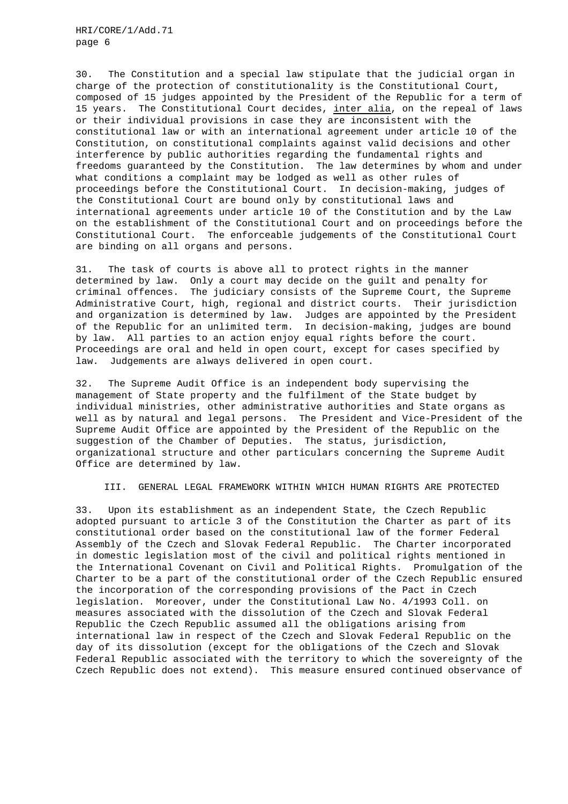HRI/CORE/1/Add.71 page 6

30. The Constitution and a special law stipulate that the judicial organ in charge of the protection of constitutionality is the Constitutional Court, composed of 15 judges appointed by the President of the Republic for a term of 15 years. The Constitutional Court decides, inter alia, on the repeal of laws or their individual provisions in case they are inconsistent with the constitutional law or with an international agreement under article 10 of the Constitution, on constitutional complaints against valid decisions and other interference by public authorities regarding the fundamental rights and freedoms guaranteed by the Constitution. The law determines by whom and under what conditions a complaint may be lodged as well as other rules of proceedings before the Constitutional Court. In decision-making, judges of the Constitutional Court are bound only by constitutional laws and international agreements under article 10 of the Constitution and by the Law on the establishment of the Constitutional Court and on proceedings before the Constitutional Court. The enforceable judgements of the Constitutional Court are binding on all organs and persons.

31. The task of courts is above all to protect rights in the manner determined by law. Only a court may decide on the guilt and penalty for criminal offences. The judiciary consists of the Supreme Court, the Supreme Administrative Court, high, regional and district courts. Their jurisdiction and organization is determined by law. Judges are appointed by the President of the Republic for an unlimited term. In decision-making, judges are bound by law. All parties to an action enjoy equal rights before the court. Proceedings are oral and held in open court, except for cases specified by law. Judgements are always delivered in open court.

32. The Supreme Audit Office is an independent body supervising the management of State property and the fulfilment of the State budget by individual ministries, other administrative authorities and State organs as well as by natural and legal persons. The President and Vice-President of the Supreme Audit Office are appointed by the President of the Republic on the suggestion of the Chamber of Deputies. The status, jurisdiction, organizational structure and other particulars concerning the Supreme Audit Office are determined by law.

III. GENERAL LEGAL FRAMEWORK WITHIN WHICH HUMAN RIGHTS ARE PROTECTED

33. Upon its establishment as an independent State, the Czech Republic adopted pursuant to article 3 of the Constitution the Charter as part of its constitutional order based on the constitutional law of the former Federal Assembly of the Czech and Slovak Federal Republic. The Charter incorporated in domestic legislation most of the civil and political rights mentioned in the International Covenant on Civil and Political Rights. Promulgation of the Charter to be a part of the constitutional order of the Czech Republic ensured the incorporation of the corresponding provisions of the Pact in Czech legislation. Moreover, under the Constitutional Law No. 4/1993 Coll. on measures associated with the dissolution of the Czech and Slovak Federal Republic the Czech Republic assumed all the obligations arising from international law in respect of the Czech and Slovak Federal Republic on the day of its dissolution (except for the obligations of the Czech and Slovak Federal Republic associated with the territory to which the sovereignty of the Czech Republic does not extend). This measure ensured continued observance of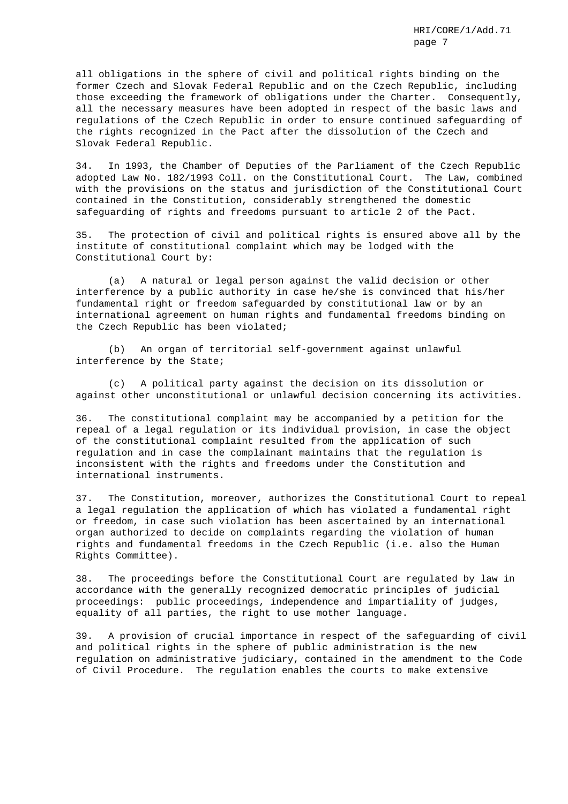all obligations in the sphere of civil and political rights binding on the former Czech and Slovak Federal Republic and on the Czech Republic, including those exceeding the framework of obligations under the Charter. Consequently, all the necessary measures have been adopted in respect of the basic laws and regulations of the Czech Republic in order to ensure continued safeguarding of the rights recognized in the Pact after the dissolution of the Czech and Slovak Federal Republic.

34. In 1993, the Chamber of Deputies of the Parliament of the Czech Republic adopted Law No. 182/1993 Coll. on the Constitutional Court. The Law, combined with the provisions on the status and jurisdiction of the Constitutional Court contained in the Constitution, considerably strengthened the domestic safeguarding of rights and freedoms pursuant to article 2 of the Pact.

35. The protection of civil and political rights is ensured above all by the institute of constitutional complaint which may be lodged with the Constitutional Court by:

(a) A natural or legal person against the valid decision or other interference by a public authority in case he/she is convinced that his/her fundamental right or freedom safeguarded by constitutional law or by an international agreement on human rights and fundamental freedoms binding on the Czech Republic has been violated;

(b) An organ of territorial self-government against unlawful interference by the State;

(c) A political party against the decision on its dissolution or against other unconstitutional or unlawful decision concerning its activities.

36. The constitutional complaint may be accompanied by a petition for the repeal of a legal regulation or its individual provision, in case the object of the constitutional complaint resulted from the application of such regulation and in case the complainant maintains that the regulation is inconsistent with the rights and freedoms under the Constitution and international instruments.

37. The Constitution, moreover, authorizes the Constitutional Court to repeal a legal regulation the application of which has violated a fundamental right or freedom, in case such violation has been ascertained by an international organ authorized to decide on complaints regarding the violation of human rights and fundamental freedoms in the Czech Republic (i.e. also the Human Rights Committee).

38. The proceedings before the Constitutional Court are regulated by law in accordance with the generally recognized democratic principles of judicial proceedings: public proceedings, independence and impartiality of judges, equality of all parties, the right to use mother language.

39. A provision of crucial importance in respect of the safeguarding of civil and political rights in the sphere of public administration is the new regulation on administrative judiciary, contained in the amendment to the Code of Civil Procedure. The regulation enables the courts to make extensive